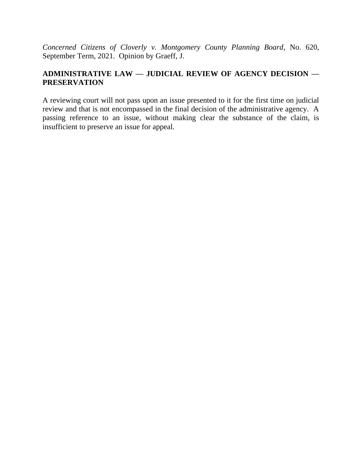*Concerned Citizens of Cloverly v. Montgomery County Planning Board*, No. 620, September Term, 2021. Opinion by Graeff, J.

# **ADMINISTRATIVE LAW — JUDICIAL REVIEW OF AGENCY DECISION — PRESERVATION**

A reviewing court will not pass upon an issue presented to it for the first time on judicial review and that is not encompassed in the final decision of the administrative agency. A passing reference to an issue, without making clear the substance of the claim, is insufficient to preserve an issue for appeal.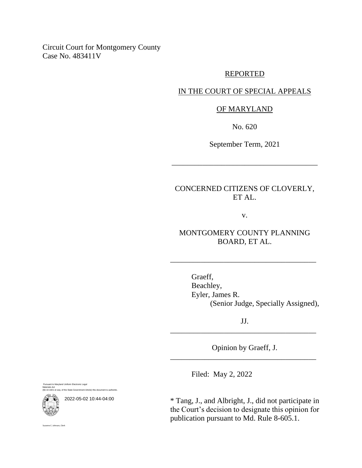Circuit Court for Montgomery County Case No. 483411V

#### REPORTED

# IN THE COURT OF SPECIAL APPEALS

# OF MARYLAND

No. 620

September Term, 2021

\_\_\_\_\_\_\_\_\_\_\_\_\_\_\_\_\_\_\_\_\_\_\_\_\_\_\_\_\_\_\_\_\_\_\_\_\_\_

CONCERNED CITIZENS OF CLOVERLY, ET AL.

v.

MONTGOMERY COUNTY PLANNING BOARD, ET AL.

\_\_\_\_\_\_\_\_\_\_\_\_\_\_\_\_\_\_\_\_\_\_\_\_\_\_\_\_\_\_\_\_\_\_\_\_\_\_

Graeff, Beachley, Eyler, James R. (Senior Judge, Specially Assigned),

JJ. \_\_\_\_\_\_\_\_\_\_\_\_\_\_\_\_\_\_\_\_\_\_\_\_\_\_\_\_\_\_\_\_\_\_\_\_\_\_

Opinion by Graeff, J. \_\_\_\_\_\_\_\_\_\_\_\_\_\_\_\_\_\_\_\_\_\_\_\_\_\_\_\_\_\_\_\_\_\_\_\_\_\_

Filed: May 2, 2022

\* Tang, J., and Albright, J., did not participate in the Court's decision to designate this opinion for publication pursuant to Md. Rule 8-605.1.

Pursuant to Maryland Uniform Electronic Legal Materials Act (§§ 10-1601 et seq. of the State Government Article) this document is authentic.



2022-05-02 10:44-04:00

Suzanne C. Johnson, Clerk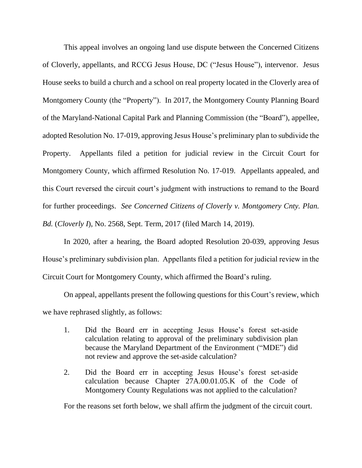This appeal involves an ongoing land use dispute between the Concerned Citizens of Cloverly, appellants, and RCCG Jesus House, DC ("Jesus House"), intervenor. Jesus House seeks to build a church and a school on real property located in the Cloverly area of Montgomery County (the "Property"). In 2017, the Montgomery County Planning Board of the Maryland-National Capital Park and Planning Commission (the "Board"), appellee, adopted Resolution No. 17-019, approving Jesus House's preliminary plan to subdivide the Property. Appellants filed a petition for judicial review in the Circuit Court for Montgomery County, which affirmed Resolution No. 17-019. Appellants appealed, and this Court reversed the circuit court's judgment with instructions to remand to the Board for further proceedings. *See Concerned Citizens of Cloverly v. Montgomery Cnty. Plan. Bd.* (*Cloverly I*), No. 2568, Sept. Term, 2017 (filed March 14, 2019).

In 2020, after a hearing, the Board adopted Resolution 20-039, approving Jesus House's preliminary subdivision plan. Appellants filed a petition for judicial review in the Circuit Court for Montgomery County, which affirmed the Board's ruling.

On appeal, appellants present the following questions for this Court's review, which we have rephrased slightly, as follows:

- 1. Did the Board err in accepting Jesus House's forest set-aside calculation relating to approval of the preliminary subdivision plan because the Maryland Department of the Environment ("MDE") did not review and approve the set-aside calculation?
- 2. Did the Board err in accepting Jesus House's forest set-aside calculation because Chapter 27A.00.01.05.K of the Code of Montgomery County Regulations was not applied to the calculation?

For the reasons set forth below, we shall affirm the judgment of the circuit court.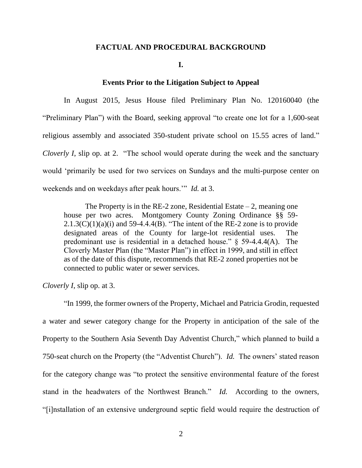### **FACTUAL AND PROCEDURAL BACKGROUND**

#### **I.**

## **Events Prior to the Litigation Subject to Appeal**

In August 2015, Jesus House filed Preliminary Plan No. 120160040 (the "Preliminary Plan") with the Board, seeking approval "to create one lot for a 1,600-seat religious assembly and associated 350-student private school on 15.55 acres of land." *Cloverly I*, slip op. at 2. "The school would operate during the week and the sanctuary would 'primarily be used for two services on Sundays and the multi-purpose center on weekends and on weekdays after peak hours.'" *Id.* at 3.

The Property is in the RE-2 zone, Residential Estate  $-2$ , meaning one house per two acres. Montgomery County Zoning Ordinance §§ 59-  $2.1.3(C)(1)(a)(i)$  and 59-4.4.4(B). "The intent of the RE-2 zone is to provide designated areas of the County for large-lot residential uses. The predominant use is residential in a detached house."  $\S$  59-4.4.4(A). The Cloverly Master Plan (the "Master Plan") in effect in 1999, and still in effect as of the date of this dispute, recommends that RE-2 zoned properties not be connected to public water or sewer services.

*Cloverly I*, slip op. at 3.

"In 1999, the former owners of the Property, Michael and Patricia Grodin, requested a water and sewer category change for the Property in anticipation of the sale of the Property to the Southern Asia Seventh Day Adventist Church," which planned to build a 750-seat church on the Property (the "Adventist Church"). *Id.* The owners' stated reason for the category change was "to protect the sensitive environmental feature of the forest stand in the headwaters of the Northwest Branch." *Id.* According to the owners, "[i]nstallation of an extensive underground septic field would require the destruction of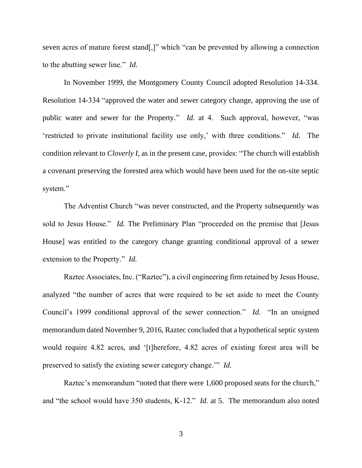seven acres of mature forest stand[,]" which "can be prevented by allowing a connection to the abutting sewer line." *Id.*

In November 1999, the Montgomery County Council adopted Resolution 14-334. Resolution 14-334 "approved the water and sewer category change, approving the use of public water and sewer for the Property." *Id.* at 4. Such approval, however, "was 'restricted to private institutional facility use only,' with three conditions." *Id.* The condition relevant to *Cloverly I*, as in the present case, provides: "The church will establish a covenant preserving the forested area which would have been used for the on-site septic system."

The Adventist Church "was never constructed, and the Property subsequently was sold to Jesus House." *Id.* The Preliminary Plan "proceeded on the premise that [Jesus House] was entitled to the category change granting conditional approval of a sewer extension to the Property." *Id.*

Raztec Associates, Inc. ("Raztec"), a civil engineering firm retained by Jesus House, analyzed "the number of acres that were required to be set aside to meet the County Council's 1999 conditional approval of the sewer connection." *Id.* "In an unsigned memorandum dated November 9, 2016, Raztec concluded that a hypothetical septic system would require 4.82 acres, and '[t]herefore, 4.82 acres of existing forest area will be preserved to satisfy the existing sewer category change.'" *Id.*

Raztec's memorandum "noted that there were 1,600 proposed seats for the church," and "the school would have 350 students, K-12." *Id.* at 5. The memorandum also noted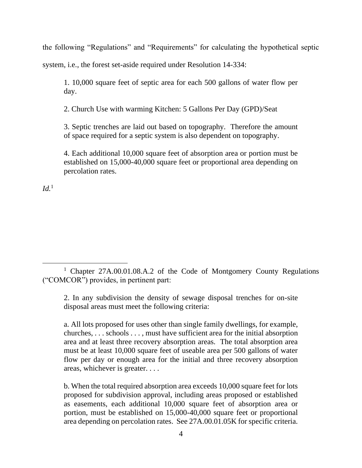the following "Regulations" and "Requirements" for calculating the hypothetical septic

system, i.e., the forest set-aside required under Resolution 14-334:

1. 10,000 square feet of septic area for each 500 gallons of water flow per day.

2. Church Use with warming Kitchen: 5 Gallons Per Day (GPD)/Seat

3. Septic trenches are laid out based on topography. Therefore the amount of space required for a septic system is also dependent on topography.

4. Each additional 10,000 square feet of absorption area or portion must be established on 15,000-40,000 square feet or proportional area depending on percolation rates.

*Id.*<sup>1</sup>

a. All lots proposed for uses other than single family dwellings, for example, churches, . . . schools . . . , must have sufficient area for the initial absorption area and at least three recovery absorption areas. The total absorption area must be at least 10,000 square feet of useable area per 500 gallons of water flow per day or enough area for the initial and three recovery absorption areas, whichever is greater. . . .

b. When the total required absorption area exceeds 10,000 square feet for lots proposed for subdivision approval, including areas proposed or established as easements, each additional 10,000 square feet of absorption area or portion, must be established on 15,000-40,000 square feet or proportional area depending on percolation rates. See 27A.00.01.05K for specific criteria.

<sup>&</sup>lt;sup>1</sup> Chapter 27A.00.01.08.A.2 of the Code of Montgomery County Regulations ("COMCOR") provides, in pertinent part:

<sup>2.</sup> In any subdivision the density of sewage disposal trenches for on-site disposal areas must meet the following criteria: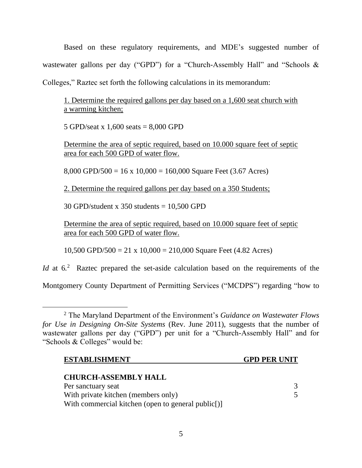Based on these regulatory requirements, and MDE's suggested number of wastewater gallons per day ("GPD") for a "Church-Assembly Hall" and "Schools & Colleges," Raztec set forth the following calculations in its memorandum:

1. Determine the required gallons per day based on a 1,600 seat church with a warming kitchen;

5 GPD/seat x 1,600 seats = 8,000 GPD

Determine the area of septic required, based on 10.000 square feet of septic area for each 500 GPD of water flow.

8,000 GPD/500 = 16 x 10,000 = 160,000 Square Feet (3.67 Acres)

2. Determine the required gallons per day based on a 350 Students;

 $30$  GPD/student x 350 students = 10.500 GPD

Determine the area of septic required, based on 10.000 square feet of septic area for each 500 GPD of water flow.

10,500 GPD/500 = 21 x 10,000 = 210,000 Square Feet  $(4.82 \text{ Acres})$ 

*Id* at 6.<sup>2</sup> Raztec prepared the set-aside calculation based on the requirements of the

Montgomery County Department of Permitting Services ("MCDPS") regarding "how to

<sup>2</sup> The Maryland Department of the Environment's *Guidance on Wastewater Flows for Use in Designing On-Site Systems* (Rev. June 2011), suggests that the number of wastewater gallons per day ("GPD") per unit for a "Church-Assembly Hall" and for "Schools & Colleges" would be:

| <b>ESTABLISHMENT</b> | <b>GPD PER UNIT</b> |
|----------------------|---------------------|
|                      |                     |

| <b>CHURCH-ASSEMBLY HALL</b>                      |  |
|--------------------------------------------------|--|
| Per sanctuary seat                               |  |
| With private kitchen (members only)              |  |
| With commercial kitchen (open to general public) |  |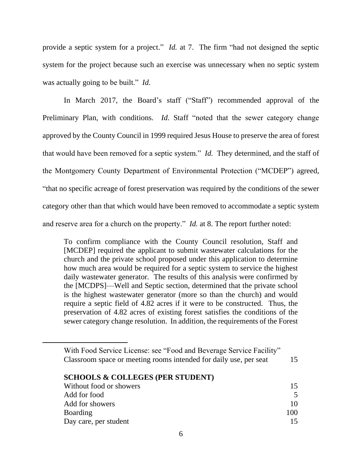provide a septic system for a project." *Id.* at 7. The firm "had not designed the septic system for the project because such an exercise was unnecessary when no septic system was actually going to be built." *Id.*

In March 2017, the Board's staff ("Staff") recommended approval of the Preliminary Plan, with conditions. *Id.* Staff "noted that the sewer category change approved by the County Council in 1999 required Jesus House to preserve the area of forest that would have been removed for a septic system." *Id.* They determined, and the staff of the Montgomery County Department of Environmental Protection ("MCDEP") agreed, "that no specific acreage of forest preservation was required by the conditions of the sewer category other than that which would have been removed to accommodate a septic system and reserve area for a church on the property." *Id.* at 8. The report further noted:

To confirm compliance with the County Council resolution, Staff and [MCDEP] required the applicant to submit wastewater calculations for the church and the private school proposed under this application to determine how much area would be required for a septic system to service the highest daily wastewater generator. The results of this analysis were confirmed by the [MCDPS]—Well and Septic section, determined that the private school is the highest wastewater generator (more so than the church) and would require a septic field of 4.82 acres if it were to be constructed. Thus, the preservation of 4.82 acres of existing forest satisfies the conditions of the sewer category change resolution. In addition, the requirements of the Forest

With Food Service License: see "Food and Beverage Service Facility" Classroom space or meeting rooms intended for daily use, per seat 15

**SCHOOLS & COLLEGES (PER STUDENT)**

| Without food or showers | 15                      |
|-------------------------|-------------------------|
| Add for food            | $\overline{\mathbf{5}}$ |
| Add for showers         | 10                      |
| Boarding                | 100                     |
| Day care, per student   | 15                      |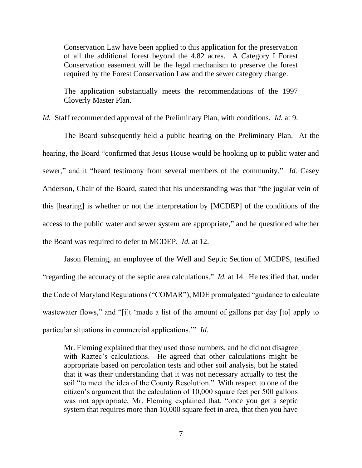Conservation Law have been applied to this application for the preservation of all the additional forest beyond the 4.82 acres. A Category I Forest Conservation easement will be the legal mechanism to preserve the forest required by the Forest Conservation Law and the sewer category change.

The application substantially meets the recommendations of the 1997 Cloverly Master Plan.

*Id.* Staff recommended approval of the Preliminary Plan, with conditions. *Id.* at 9.

The Board subsequently held a public hearing on the Preliminary Plan. At the hearing, the Board "confirmed that Jesus House would be hooking up to public water and sewer," and it "heard testimony from several members of the community." *Id.* Casey Anderson, Chair of the Board, stated that his understanding was that "the jugular vein of this [hearing] is whether or not the interpretation by [MCDEP] of the conditions of the access to the public water and sewer system are appropriate," and he questioned whether the Board was required to defer to MCDEP. *Id.* at 12.

Jason Fleming, an employee of the Well and Septic Section of MCDPS, testified "regarding the accuracy of the septic area calculations." *Id.* at 14. He testified that, under the Code of Maryland Regulations ("COMAR"), MDE promulgated "guidance to calculate wastewater flows," and "[i]t 'made a list of the amount of gallons per day [to] apply to particular situations in commercial applications.'" *Id.*

Mr. Fleming explained that they used those numbers, and he did not disagree with Raztec's calculations. He agreed that other calculations might be appropriate based on percolation tests and other soil analysis, but he stated that it was their understanding that it was not necessary actually to test the soil "to meet the idea of the County Resolution." With respect to one of the citizen's argument that the calculation of 10,000 square feet per 500 gallons was not appropriate, Mr. Fleming explained that, "once you get a septic system that requires more than 10,000 square feet in area, that then you have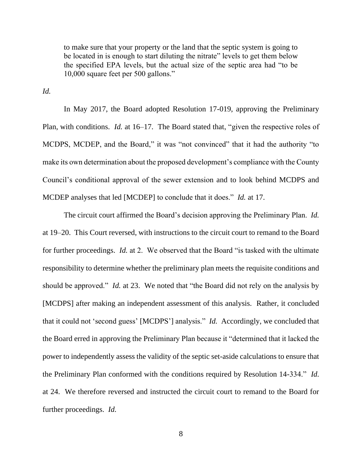to make sure that your property or the land that the septic system is going to be located in is enough to start diluting the nitrate" levels to get them below the specified EPA levels, but the actual size of the septic area had "to be 10,000 square feet per 500 gallons."

*Id.*

In May 2017, the Board adopted Resolution 17-019, approving the Preliminary Plan, with conditions. *Id.* at 16–17. The Board stated that, "given the respective roles of MCDPS, MCDEP, and the Board," it was "not convinced" that it had the authority "to make its own determination about the proposed development's compliance with the County Council's conditional approval of the sewer extension and to look behind MCDPS and MCDEP analyses that led [MCDEP] to conclude that it does." *Id.* at 17.

The circuit court affirmed the Board's decision approving the Preliminary Plan. *Id.* at 19–20. This Court reversed, with instructions to the circuit court to remand to the Board for further proceedings. *Id.* at 2. We observed that the Board "is tasked with the ultimate responsibility to determine whether the preliminary plan meets the requisite conditions and should be approved." *Id.* at 23. We noted that "the Board did not rely on the analysis by [MCDPS] after making an independent assessment of this analysis. Rather, it concluded that it could not 'second guess' [MCDPS'] analysis." *Id.* Accordingly, we concluded that the Board erred in approving the Preliminary Plan because it "determined that it lacked the power to independently assess the validity of the septic set-aside calculations to ensure that the Preliminary Plan conformed with the conditions required by Resolution 14-334." *Id.* at 24. We therefore reversed and instructed the circuit court to remand to the Board for further proceedings. *Id.*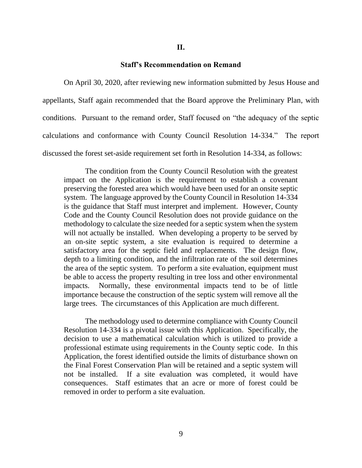## **Staff's Recommendation on Remand**

On April 30, 2020, after reviewing new information submitted by Jesus House and appellants, Staff again recommended that the Board approve the Preliminary Plan, with conditions. Pursuant to the remand order, Staff focused on "the adequacy of the septic calculations and conformance with County Council Resolution 14-334." The report discussed the forest set-aside requirement set forth in Resolution 14-334, as follows:

The condition from the County Council Resolution with the greatest impact on the Application is the requirement to establish a covenant preserving the forested area which would have been used for an onsite septic system. The language approved by the County Council in Resolution 14-334 is the guidance that Staff must interpret and implement. However, County Code and the County Council Resolution does not provide guidance on the methodology to calculate the size needed for a septic system when the system will not actually be installed. When developing a property to be served by an on-site septic system, a site evaluation is required to determine a satisfactory area for the septic field and replacements. The design flow, depth to a limiting condition, and the infiltration rate of the soil determines the area of the septic system. To perform a site evaluation, equipment must be able to access the property resulting in tree loss and other environmental impacts. Normally, these environmental impacts tend to be of little importance because the construction of the septic system will remove all the large trees. The circumstances of this Application are much different.

The methodology used to determine compliance with County Council Resolution 14-334 is a pivotal issue with this Application. Specifically, the decision to use a mathematical calculation which is utilized to provide a professional estimate using requirements in the County septic code. In this Application, the forest identified outside the limits of disturbance shown on the Final Forest Conservation Plan will be retained and a septic system will not be installed. If a site evaluation was completed, it would have consequences. Staff estimates that an acre or more of forest could be removed in order to perform a site evaluation.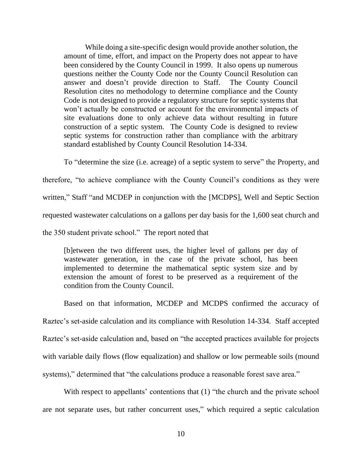While doing a site-specific design would provide another solution, the amount of time, effort, and impact on the Property does not appear to have been considered by the County Council in 1999. It also opens up numerous questions neither the County Code nor the County Council Resolution can answer and doesn't provide direction to Staff. The County Council Resolution cites no methodology to determine compliance and the County Code is not designed to provide a regulatory structure for septic systems that won't actually be constructed or account for the environmental impacts of site evaluations done to only achieve data without resulting in future construction of a septic system. The County Code is designed to review septic systems for construction rather than compliance with the arbitrary standard established by County Council Resolution 14-334.

To "determine the size (i.e. acreage) of a septic system to serve" the Property, and therefore, "to achieve compliance with the County Council's conditions as they were written," Staff "and MCDEP in conjunction with the [MCDPS], Well and Septic Section requested wastewater calculations on a gallons per day basis for the 1,600 seat church and the 350 student private school." The report noted that

[b]etween the two different uses, the higher level of gallons per day of wastewater generation, in the case of the private school, has been implemented to determine the mathematical septic system size and by extension the amount of forest to be preserved as a requirement of the condition from the County Council.

Based on that information, MCDEP and MCDPS confirmed the accuracy of Raztec's set-aside calculation and its compliance with Resolution 14-334. Staff accepted Raztec's set-aside calculation and, based on "the accepted practices available for projects with variable daily flows (flow equalization) and shallow or low permeable soils (mound systems)," determined that "the calculations produce a reasonable forest save area."

With respect to appellants' contentions that  $(1)$  "the church and the private school are not separate uses, but rather concurrent uses," which required a septic calculation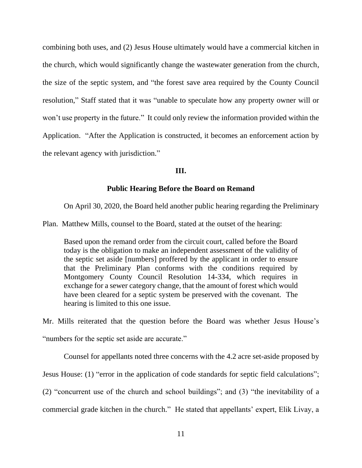combining both uses, and (2) Jesus House ultimately would have a commercial kitchen in the church, which would significantly change the wastewater generation from the church, the size of the septic system, and "the forest save area required by the County Council resolution," Staff stated that it was "unable to speculate how any property owner will or won't use property in the future." It could only review the information provided within the Application. "After the Application is constructed, it becomes an enforcement action by the relevant agency with jurisdiction."

# **III.**

# **Public Hearing Before the Board on Remand**

On April 30, 2020, the Board held another public hearing regarding the Preliminary

Plan. Matthew Mills, counsel to the Board, stated at the outset of the hearing:

Based upon the remand order from the circuit court, called before the Board today is the obligation to make an independent assessment of the validity of the septic set aside [numbers] proffered by the applicant in order to ensure that the Preliminary Plan conforms with the conditions required by Montgomery County Council Resolution 14-334, which requires in exchange for a sewer category change, that the amount of forest which would have been cleared for a septic system be preserved with the covenant. The hearing is limited to this one issue.

Mr. Mills reiterated that the question before the Board was whether Jesus House's "numbers for the septic set aside are accurate."

Counsel for appellants noted three concerns with the 4.2 acre set-aside proposed by

Jesus House: (1) "error in the application of code standards for septic field calculations";

(2) "concurrent use of the church and school buildings"; and (3) "the inevitability of a

commercial grade kitchen in the church." He stated that appellants' expert, Elik Livay, a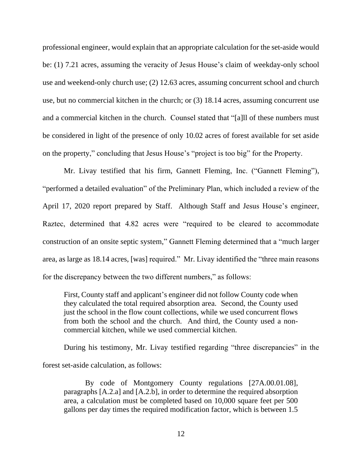professional engineer, would explain that an appropriate calculation for the set-aside would be: (1) 7.21 acres, assuming the veracity of Jesus House's claim of weekday-only school use and weekend-only church use; (2) 12.63 acres, assuming concurrent school and church use, but no commercial kitchen in the church; or (3) 18.14 acres, assuming concurrent use and a commercial kitchen in the church. Counsel stated that "[a]ll of these numbers must be considered in light of the presence of only 10.02 acres of forest available for set aside on the property," concluding that Jesus House's "project is too big" for the Property.

Mr. Livay testified that his firm, Gannett Fleming, Inc. ("Gannett Fleming"), "performed a detailed evaluation" of the Preliminary Plan, which included a review of the April 17, 2020 report prepared by Staff. Although Staff and Jesus House's engineer, Raztec, determined that 4.82 acres were "required to be cleared to accommodate construction of an onsite septic system," Gannett Fleming determined that a "much larger area, as large as 18.14 acres, [was] required." Mr. Livay identified the "three main reasons for the discrepancy between the two different numbers," as follows:

First, County staff and applicant's engineer did not follow County code when they calculated the total required absorption area. Second, the County used just the school in the flow count collections, while we used concurrent flows from both the school and the church. And third, the County used a noncommercial kitchen, while we used commercial kitchen.

During his testimony, Mr. Livay testified regarding "three discrepancies" in the forest set-aside calculation, as follows:

By code of Montgomery County regulations [27A.00.01.08], paragraphs [A.2.a] and [A.2.b], in order to determine the required absorption area, a calculation must be completed based on 10,000 square feet per 500 gallons per day times the required modification factor, which is between 1.5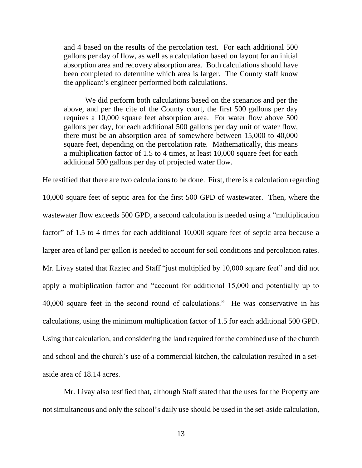and 4 based on the results of the percolation test. For each additional 500 gallons per day of flow, as well as a calculation based on layout for an initial absorption area and recovery absorption area. Both calculations should have been completed to determine which area is larger. The County staff know the applicant's engineer performed both calculations.

We did perform both calculations based on the scenarios and per the above, and per the cite of the County court, the first 500 gallons per day requires a 10,000 square feet absorption area. For water flow above 500 gallons per day, for each additional 500 gallons per day unit of water flow, there must be an absorption area of somewhere between 15,000 to 40,000 square feet, depending on the percolation rate. Mathematically, this means a multiplication factor of 1.5 to 4 times, at least 10,000 square feet for each additional 500 gallons per day of projected water flow.

He testified that there are two calculations to be done. First, there is a calculation regarding 10,000 square feet of septic area for the first 500 GPD of wastewater. Then, where the wastewater flow exceeds 500 GPD, a second calculation is needed using a "multiplication factor" of 1.5 to 4 times for each additional 10,000 square feet of septic area because a larger area of land per gallon is needed to account for soil conditions and percolation rates. Mr. Livay stated that Raztec and Staff "just multiplied by 10,000 square feet" and did not apply a multiplication factor and "account for additional 15,000 and potentially up to 40,000 square feet in the second round of calculations." He was conservative in his calculations, using the minimum multiplication factor of 1.5 for each additional 500 GPD. Using that calculation, and considering the land required for the combined use of the church and school and the church's use of a commercial kitchen, the calculation resulted in a setaside area of 18.14 acres.

Mr. Livay also testified that, although Staff stated that the uses for the Property are not simultaneous and only the school's daily use should be used in the set-aside calculation,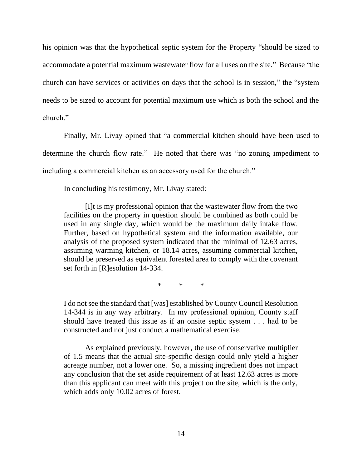his opinion was that the hypothetical septic system for the Property "should be sized to accommodate a potential maximum wastewater flow for all uses on the site." Because "the church can have services or activities on days that the school is in session," the "system needs to be sized to account for potential maximum use which is both the school and the church."

Finally, Mr. Livay opined that "a commercial kitchen should have been used to determine the church flow rate." He noted that there was "no zoning impediment to including a commercial kitchen as an accessory used for the church."

In concluding his testimony, Mr. Livay stated:

[I]t is my professional opinion that the wastewater flow from the two facilities on the property in question should be combined as both could be used in any single day, which would be the maximum daily intake flow. Further, based on hypothetical system and the information available, our analysis of the proposed system indicated that the minimal of 12.63 acres, assuming warming kitchen, or 18.14 acres, assuming commercial kitchen, should be preserved as equivalent forested area to comply with the covenant set forth in [R]esolution 14-334.

\* \* \*

I do not see the standard that [was] established by County Council Resolution 14-344 is in any way arbitrary. In my professional opinion, County staff should have treated this issue as if an onsite septic system . . . had to be constructed and not just conduct a mathematical exercise.

As explained previously, however, the use of conservative multiplier of 1.5 means that the actual site-specific design could only yield a higher acreage number, not a lower one. So, a missing ingredient does not impact any conclusion that the set aside requirement of at least 12.63 acres is more than this applicant can meet with this project on the site, which is the only, which adds only 10.02 acres of forest.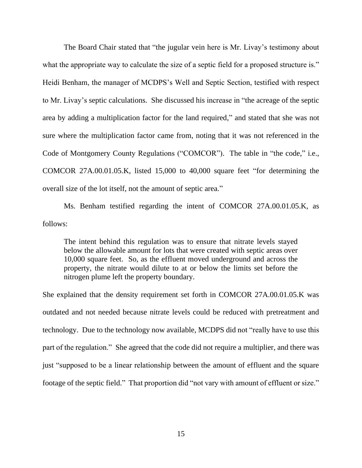The Board Chair stated that "the jugular vein here is Mr. Livay's testimony about what the appropriate way to calculate the size of a septic field for a proposed structure is." Heidi Benham, the manager of MCDPS's Well and Septic Section, testified with respect to Mr. Livay's septic calculations. She discussed his increase in "the acreage of the septic area by adding a multiplication factor for the land required," and stated that she was not sure where the multiplication factor came from, noting that it was not referenced in the Code of Montgomery County Regulations ("COMCOR"). The table in "the code," i.e., COMCOR 27A.00.01.05.K, listed 15,000 to 40,000 square feet "for determining the overall size of the lot itself, not the amount of septic area."

Ms. Benham testified regarding the intent of COMCOR 27A.00.01.05.K, as follows:

The intent behind this regulation was to ensure that nitrate levels stayed below the allowable amount for lots that were created with septic areas over 10,000 square feet. So, as the effluent moved underground and across the property, the nitrate would dilute to at or below the limits set before the nitrogen plume left the property boundary.

She explained that the density requirement set forth in COMCOR 27A.00.01.05.K was outdated and not needed because nitrate levels could be reduced with pretreatment and technology. Due to the technology now available, MCDPS did not "really have to use this part of the regulation." She agreed that the code did not require a multiplier, and there was just "supposed to be a linear relationship between the amount of effluent and the square footage of the septic field." That proportion did "not vary with amount of effluent or size."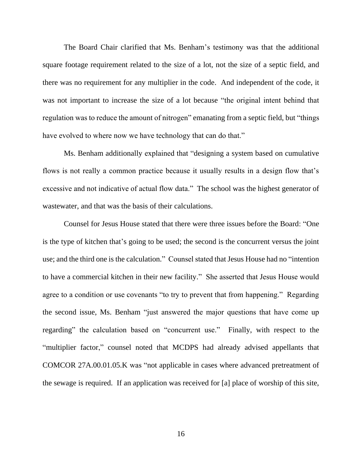The Board Chair clarified that Ms. Benham's testimony was that the additional square footage requirement related to the size of a lot, not the size of a septic field, and there was no requirement for any multiplier in the code. And independent of the code, it was not important to increase the size of a lot because "the original intent behind that regulation was to reduce the amount of nitrogen" emanating from a septic field, but "things have evolved to where now we have technology that can do that."

Ms. Benham additionally explained that "designing a system based on cumulative flows is not really a common practice because it usually results in a design flow that's excessive and not indicative of actual flow data." The school was the highest generator of wastewater, and that was the basis of their calculations.

Counsel for Jesus House stated that there were three issues before the Board: "One is the type of kitchen that's going to be used; the second is the concurrent versus the joint use; and the third one is the calculation." Counsel stated that Jesus House had no "intention to have a commercial kitchen in their new facility." She asserted that Jesus House would agree to a condition or use covenants "to try to prevent that from happening." Regarding the second issue, Ms. Benham "just answered the major questions that have come up regarding" the calculation based on "concurrent use." Finally, with respect to the "multiplier factor," counsel noted that MCDPS had already advised appellants that COMCOR 27A.00.01.05.K was "not applicable in cases where advanced pretreatment of the sewage is required. If an application was received for [a] place of worship of this site,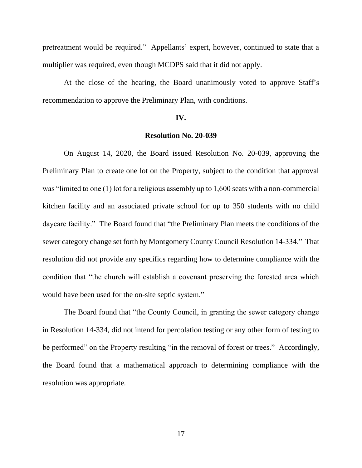pretreatment would be required." Appellants' expert, however, continued to state that a multiplier was required, even though MCDPS said that it did not apply.

At the close of the hearing, the Board unanimously voted to approve Staff's recommendation to approve the Preliminary Plan, with conditions.

# **IV.**

### **Resolution No. 20-039**

On August 14, 2020, the Board issued Resolution No. 20-039, approving the Preliminary Plan to create one lot on the Property, subject to the condition that approval was "limited to one (1) lot for a religious assembly up to 1,600 seats with a non-commercial kitchen facility and an associated private school for up to 350 students with no child daycare facility." The Board found that "the Preliminary Plan meets the conditions of the sewer category change set forth by Montgomery County Council Resolution 14-334." That resolution did not provide any specifics regarding how to determine compliance with the condition that "the church will establish a covenant preserving the forested area which would have been used for the on-site septic system."

The Board found that "the County Council, in granting the sewer category change in Resolution 14-334, did not intend for percolation testing or any other form of testing to be performed" on the Property resulting "in the removal of forest or trees." Accordingly, the Board found that a mathematical approach to determining compliance with the resolution was appropriate.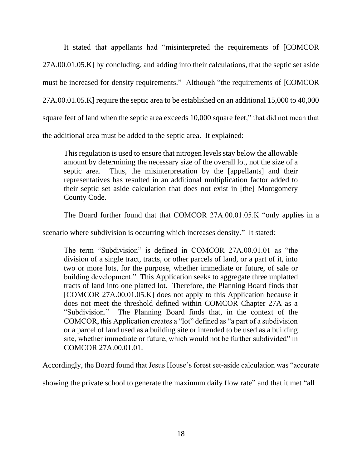It stated that appellants had "misinterpreted the requirements of [COMCOR 27A.00.01.05.K] by concluding, and adding into their calculations, that the septic set aside must be increased for density requirements." Although "the requirements of [COMCOR 27A.00.01.05.K] require the septic area to be established on an additional 15,000 to 40,000 square feet of land when the septic area exceeds 10,000 square feet," that did not mean that the additional area must be added to the septic area. It explained:

This regulation is used to ensure that nitrogen levels stay below the allowable amount by determining the necessary size of the overall lot, not the size of a septic area. Thus, the misinterpretation by the [appellants] and their representatives has resulted in an additional multiplication factor added to their septic set aside calculation that does not exist in [the] Montgomery County Code.

The Board further found that that COMCOR 27A.00.01.05.K "only applies in a

scenario where subdivision is occurring which increases density." It stated:

The term "Subdivision" is defined in COMCOR 27A.00.01.01 as "the division of a single tract, tracts, or other parcels of land, or a part of it, into two or more lots, for the purpose, whether immediate or future, of sale or building development." This Application seeks to aggregate three unplatted tracts of land into one platted lot. Therefore, the Planning Board finds that [COMCOR 27A.00.01.05.K] does not apply to this Application because it does not meet the threshold defined within COMCOR Chapter 27A as a "Subdivision." The Planning Board finds that, in the context of the COMCOR, this Application creates a "lot" defined as "a part of a subdivision or a parcel of land used as a building site or intended to be used as a building site, whether immediate or future, which would not be further subdivided" in COMCOR 27A.00.01.01.

Accordingly, the Board found that Jesus House's forest set-aside calculation was "accurate

showing the private school to generate the maximum daily flow rate" and that it met "all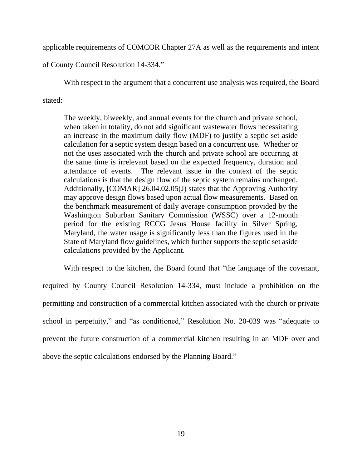applicable requirements of COMCOR Chapter 27A as well as the requirements and intent

of County Council Resolution 14-334."

With respect to the argument that a concurrent use analysis was required, the Board

stated:

The weekly, biweekly, and annual events for the church and private school, when taken in totality, do not add significant wastewater flows necessitating an increase in the maximum daily flow (MDF) to justify a septic set aside calculation for a septic system design based on a concurrent use. Whether or not the uses associated with the church and private school are occurring at the same time is irrelevant based on the expected frequency, duration and attendance of events. The relevant issue in the context of the septic calculations is that the design flow of the septic system remains unchanged. Additionally, [COMAR] 26.04.02.05(J) states that the Approving Authority may approve design flows based upon actual flow measurements. Based on the benchmark measurement of daily average consumption provided by the Washington Suburban Sanitary Commission (WSSC) over a 12-month period for the existing RCCG Jesus House facility in Silver Spring, Maryland, the water usage is significantly less than the figures used in the State of Maryland flow guidelines, which further supports the septic set aside calculations provided by the Applicant.

With respect to the kitchen, the Board found that "the language of the covenant, required by County Council Resolution 14-334, must include a prohibition on the permitting and construction of a commercial kitchen associated with the church or private school in perpetuity," and "as conditioned," Resolution No. 20-039 was "adequate to prevent the future construction of a commercial kitchen resulting in an MDF over and above the septic calculations endorsed by the Planning Board."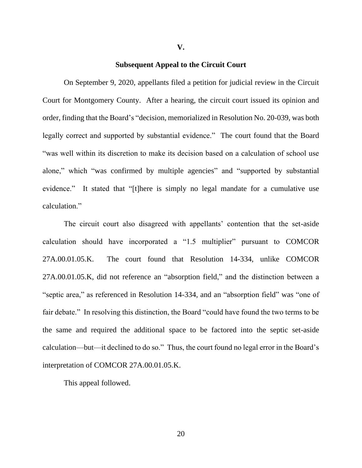**V.**

### **Subsequent Appeal to the Circuit Court**

On September 9, 2020, appellants filed a petition for judicial review in the Circuit Court for Montgomery County. After a hearing, the circuit court issued its opinion and order, finding that the Board's "decision, memorialized in Resolution No. 20-039, was both legally correct and supported by substantial evidence." The court found that the Board "was well within its discretion to make its decision based on a calculation of school use alone," which "was confirmed by multiple agencies" and "supported by substantial evidence." It stated that "[t]here is simply no legal mandate for a cumulative use calculation."

The circuit court also disagreed with appellants' contention that the set-aside calculation should have incorporated a "1.5 multiplier" pursuant to COMCOR 27A.00.01.05.K. The court found that Resolution 14-334, unlike COMCOR 27A.00.01.05.K, did not reference an "absorption field," and the distinction between a "septic area," as referenced in Resolution 14-334, and an "absorption field" was "one of fair debate." In resolving this distinction, the Board "could have found the two terms to be the same and required the additional space to be factored into the septic set-aside calculation—but—it declined to do so." Thus, the court found no legal error in the Board's interpretation of COMCOR 27A.00.01.05.K.

This appeal followed.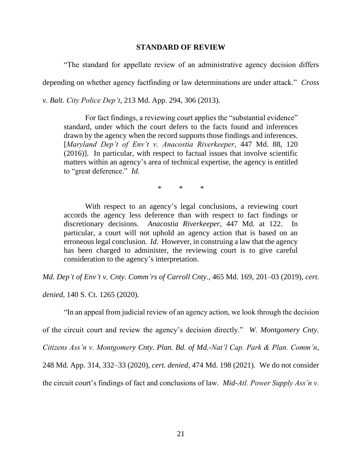#### **STANDARD OF REVIEW**

"The standard for appellate review of an administrative agency decision differs depending on whether agency factfinding or law determinations are under attack." *Cross* 

*v. Balt. City Police Dep't*, 213 Md. App. 294, 306 (2013).

For fact findings, a reviewing court applies the "substantial evidence" standard, under which the court defers to the facts found and inferences drawn by the agency when the record supports those findings and inferences. [*Maryland Dep't of Env't v. Anacostia Riverkeeper*, 447 Md. 88, 120 (2016)]. In particular, with respect to factual issues that involve scientific matters within an agency's area of technical expertise, the agency is entitled to "great deference." *Id.*

\* \* \*

With respect to an agency's legal conclusions, a reviewing court accords the agency less deference than with respect to fact findings or discretionary decisions. *Anacostia Riverkeeper*, 447 Md. at 122. In particular, a court will not uphold an agency action that is based on an erroneous legal conclusion. *Id.* However, in construing a law that the agency has been charged to administer, the reviewing court is to give careful consideration to the agency's interpretation.

*Md. Dep't of Env't v. Cnty. Comm'rs of Carroll Cnty.*, 465 Md. 169, 201–03 (2019), *cert.* 

*denied*, 140 S. Ct. 1265 (2020).

"In an appeal from judicial review of an agency action, we look through the decision of the circuit court and review the agency's decision directly." *W. Montgomery Cnty. Citizens Ass'n v. Montgomery Cnty. Plan. Bd. of Md.-Nat'l Cap. Park & Plan. Comm'n*, 248 Md. App. 314, 332–33 (2020), *cert. denied*, 474 Md. 198 (2021). We do not consider the circuit court's findings of fact and conclusions of law. *Mid-Atl. Power Supply Ass'n v.*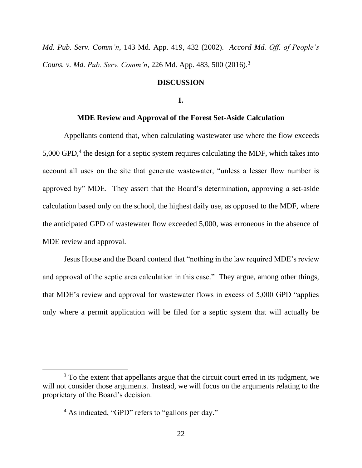*Md. Pub. Serv. Comm'n*, 143 Md. App. 419, 432 (2002). *Accord Md. Off. of People's Couns. v. Md. Pub. Serv. Comm'n*, 226 Md. App. 483, 500 (2016).<sup>3</sup>

## **DISCUSSION**

#### **I.**

# **MDE Review and Approval of the Forest Set-Aside Calculation**

Appellants contend that, when calculating wastewater use where the flow exceeds 5,000 GPD,<sup>4</sup> the design for a septic system requires calculating the MDF, which takes into account all uses on the site that generate wastewater, "unless a lesser flow number is approved by" MDE. They assert that the Board's determination, approving a set-aside calculation based only on the school, the highest daily use, as opposed to the MDF, where the anticipated GPD of wastewater flow exceeded 5,000, was erroneous in the absence of MDE review and approval.

Jesus House and the Board contend that "nothing in the law required MDE's review and approval of the septic area calculation in this case." They argue, among other things, that MDE's review and approval for wastewater flows in excess of 5,000 GPD "applies only where a permit application will be filed for a septic system that will actually be

<sup>&</sup>lt;sup>3</sup> To the extent that appellants argue that the circuit court erred in its judgment, we will not consider those arguments. Instead, we will focus on the arguments relating to the proprietary of the Board's decision.

<sup>&</sup>lt;sup>4</sup> As indicated, "GPD" refers to "gallons per day."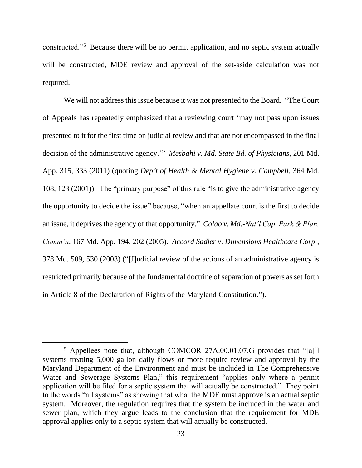constructed."<sup>5</sup> Because there will be no permit application, and no septic system actually will be constructed, MDE review and approval of the set-aside calculation was not required.

We will not address this issue because it was not presented to the Board. "The Court of Appeals has repeatedly emphasized that a reviewing court 'may not pass upon issues presented to it for the first time on judicial review and that are not encompassed in the final decision of the administrative agency.'" *Mesbahi v. Md. State Bd. of Physicians*, 201 Md. App. 315, 333 (2011) (quoting *Dep't of Health & Mental Hygiene v. Campbell*, 364 Md. 108, 123 (2001)). The "primary purpose" of this rule "is to give the administrative agency the opportunity to decide the issue" because, "when an appellate court is the first to decide an issue, it deprives the agency of that opportunity." *Colao v. Md.-Nat'l Cap. Park & Plan. Comm'n*, 167 Md. App. 194, 202 (2005). *Accord Sadler v. Dimensions Healthcare Corp.*, 378 Md. 509, 530 (2003) ("[J]udicial review of the actions of an administrative agency is restricted primarily because of the fundamental doctrine of separation of powers as set forth in Article 8 of the Declaration of Rights of the Maryland Constitution.").

<sup>5</sup> Appellees note that, although COMCOR 27A.00.01.07.G provides that "[a]ll systems treating 5,000 gallon daily flows or more require review and approval by the Maryland Department of the Environment and must be included in The Comprehensive Water and Sewerage Systems Plan," this requirement "applies only where a permit application will be filed for a septic system that will actually be constructed." They point to the words "all systems" as showing that what the MDE must approve is an actual septic system. Moreover, the regulation requires that the system be included in the water and sewer plan, which they argue leads to the conclusion that the requirement for MDE approval applies only to a septic system that will actually be constructed.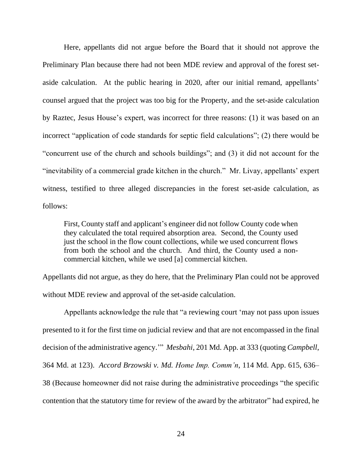Here, appellants did not argue before the Board that it should not approve the Preliminary Plan because there had not been MDE review and approval of the forest setaside calculation. At the public hearing in 2020, after our initial remand, appellants' counsel argued that the project was too big for the Property, and the set-aside calculation by Raztec, Jesus House's expert, was incorrect for three reasons: (1) it was based on an incorrect "application of code standards for septic field calculations"; (2) there would be "concurrent use of the church and schools buildings"; and (3) it did not account for the "inevitability of a commercial grade kitchen in the church." Mr. Livay, appellants' expert witness, testified to three alleged discrepancies in the forest set-aside calculation, as follows:

First, County staff and applicant's engineer did not follow County code when they calculated the total required absorption area. Second, the County used just the school in the flow count collections, while we used concurrent flows from both the school and the church. And third, the County used a noncommercial kitchen, while we used [a] commercial kitchen.

Appellants did not argue, as they do here, that the Preliminary Plan could not be approved without MDE review and approval of the set-aside calculation.

Appellants acknowledge the rule that "a reviewing court 'may not pass upon issues presented to it for the first time on judicial review and that are not encompassed in the final decision of the administrative agency.'" *Mesbahi*, 201 Md. App. at 333 (quoting *Campbell*, 364 Md. at 123). *Accord Brzowski v. Md. Home Imp. Comm'n*, 114 Md. App. 615, 636– 38 (Because homeowner did not raise during the administrative proceedings "the specific contention that the statutory time for review of the award by the arbitrator" had expired, he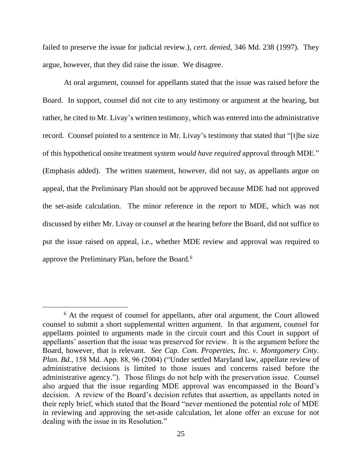failed to preserve the issue for judicial review.), *cert. denied*, 346 Md. 238 (1997). They argue, however, that they did raise the issue. We disagree.

At oral argument, counsel for appellants stated that the issue was raised before the Board. In support, counsel did not cite to any testimony or argument at the hearing, but rather, he cited to Mr. Livay's written testimony, which was entered into the administrative record. Counsel pointed to a sentence in Mr. Livay's testimony that stated that "[t]he size of this hypothetical onsite treatment system *would have required* approval through MDE." (Emphasis added). The written statement, however, did not say, as appellants argue on appeal, that the Preliminary Plan should not be approved because MDE had not approved the set-aside calculation. The minor reference in the report to MDE, which was not discussed by either Mr. Livay or counsel at the hearing before the Board, did not suffice to put the issue raised on appeal, i.e., whether MDE review and approval was required to approve the Preliminary Plan, before the Board.<sup>6</sup>

<sup>6</sup> At the request of counsel for appellants, after oral argument, the Court allowed counsel to submit a short supplemental written argument. In that argument, counsel for appellants pointed to arguments made in the circuit court and this Court in support of appellants' assertion that the issue was preserved for review. It is the argument before the Board, however, that is relevant. *See Cap. Com. Properties, Inc. v. Montgomery Cnty. Plan. Bd.*, 158 Md. App. 88, 96 (2004) ("Under settled Maryland law, appellate review of administrative decisions is limited to those issues and concerns raised before the administrative agency."). Those filings do not help with the preservation issue. Counsel also argued that the issue regarding MDE approval was encompassed in the Board's decision. A review of the Board's decision refutes that assertion, as appellants noted in their reply brief, which stated that the Board "never mentioned the potential role of MDE in reviewing and approving the set-aside calculation, let alone offer an excuse for not dealing with the issue in its Resolution."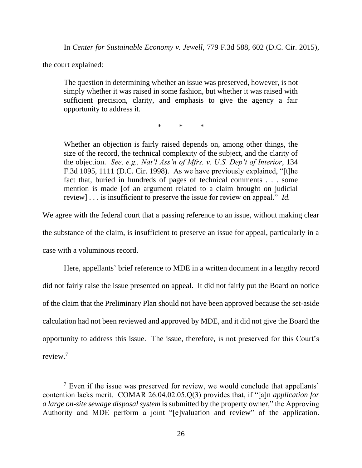In *Center for Sustainable Economy v. Jewell*, 779 F.3d 588, 602 (D.C. Cir. 2015),

the court explained:

The question in determining whether an issue was preserved, however, is not simply whether it was raised in some fashion, but whether it was raised with sufficient precision, clarity, and emphasis to give the agency a fair opportunity to address it.

\* \* \*

Whether an objection is fairly raised depends on, among other things, the size of the record, the technical complexity of the subject, and the clarity of the objection. *See, e.g., Nat'l Ass'n of Mfrs. v. U.S. Dep't of Interior*, 134 F.3d 1095, 1111 (D.C. Cir. 1998). As we have previously explained, "[t]he fact that, buried in hundreds of pages of technical comments . . . some mention is made [of an argument related to a claim brought on judicial review] . . . is insufficient to preserve the issue for review on appeal." *Id.*

We agree with the federal court that a passing reference to an issue, without making clear the substance of the claim, is insufficient to preserve an issue for appeal, particularly in a case with a voluminous record.

Here, appellants' brief reference to MDE in a written document in a lengthy record did not fairly raise the issue presented on appeal. It did not fairly put the Board on notice of the claim that the Preliminary Plan should not have been approved because the set-aside calculation had not been reviewed and approved by MDE, and it did not give the Board the opportunity to address this issue. The issue, therefore, is not preserved for this Court's review. 7

 $<sup>7</sup>$  Even if the issue was preserved for review, we would conclude that appellants'</sup> contention lacks merit. COMAR 26.04.02.05.Q(3) provides that, if "[a]n *application for a large on-site sewage disposal system* is submitted by the property owner," the Approving Authority and MDE perform a joint "[e]valuation and review" of the application.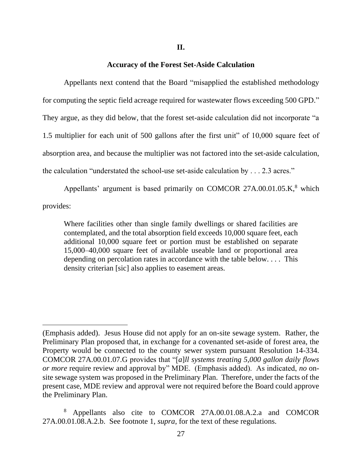### **Accuracy of the Forest Set-Aside Calculation**

Appellants next contend that the Board "misapplied the established methodology for computing the septic field acreage required for wastewater flows exceeding 500 GPD." They argue, as they did below, that the forest set-aside calculation did not incorporate "a 1.5 multiplier for each unit of 500 gallons after the first unit" of 10,000 square feet of absorption area, and because the multiplier was not factored into the set-aside calculation, the calculation "understated the school-use set-aside calculation by . . . 2.3 acres."

Appellants' argument is based primarily on COMCOR  $27A.00.01.05.K$ , which provides:

Where facilities other than single family dwellings or shared facilities are contemplated, and the total absorption field exceeds 10,000 square feet, each additional 10,000 square feet or portion must be established on separate 15,000–40,000 square feet of available useable land or proportional area depending on percolation rates in accordance with the table below. . . . This density criterian [sic] also applies to easement areas.

<sup>(</sup>Emphasis added). Jesus House did not apply for an on-site sewage system. Rather, the Preliminary Plan proposed that, in exchange for a covenanted set-aside of forest area, the Property would be connected to the county sewer system pursuant Resolution 14-334. COMCOR 27A.00.01.07.G provides that "[*a*]*ll systems treating 5,000 gallon daily flows or more* require review and approval by" MDE. (Emphasis added). As indicated, *no* onsite sewage system was proposed in the Preliminary Plan. Therefore, under the facts of the present case, MDE review and approval were not required before the Board could approve the Preliminary Plan.

<sup>8</sup> Appellants also cite to COMCOR 27A.00.01.08.A.2.a and COMCOR 27A.00.01.08.A.2.b. See footnote 1, *supra*, for the text of these regulations.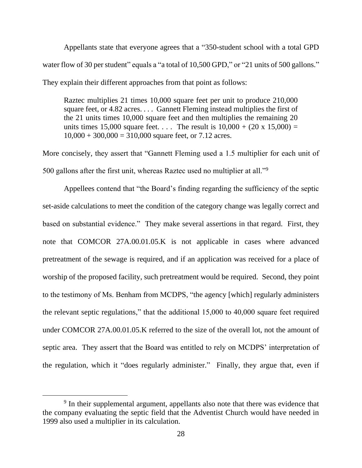Appellants state that everyone agrees that a "350-student school with a total GPD water flow of 30 per student" equals a "a total of 10,500 GPD," or "21 units of 500 gallons." They explain their different approaches from that point as follows:

Raztec multiplies 21 times 10,000 square feet per unit to produce 210,000 square feet, or 4.82 acres. . . . Gannett Fleming instead multiplies the first of the 21 units times 10,000 square feet and then multiplies the remaining 20 units times 15,000 square feet.... The result is  $10,000 + (20 \times 15,000) =$  $10,000 + 300,000 = 310,000$  square feet, or 7.12 acres.

More concisely, they assert that "Gannett Fleming used a 1.5 multiplier for each unit of 500 gallons after the first unit, whereas Raztec used no multiplier at all."<sup>9</sup>

Appellees contend that "the Board's finding regarding the sufficiency of the septic set-aside calculations to meet the condition of the category change was legally correct and based on substantial evidence." They make several assertions in that regard. First, they note that COMCOR 27A.00.01.05.K is not applicable in cases where advanced pretreatment of the sewage is required, and if an application was received for a place of worship of the proposed facility, such pretreatment would be required. Second, they point to the testimony of Ms. Benham from MCDPS, "the agency [which] regularly administers the relevant septic regulations," that the additional 15,000 to 40,000 square feet required under COMCOR 27A.00.01.05.K referred to the size of the overall lot, not the amount of septic area. They assert that the Board was entitled to rely on MCDPS' interpretation of the regulation, which it "does regularly administer." Finally, they argue that, even if

<sup>&</sup>lt;sup>9</sup> In their supplemental argument, appellants also note that there was evidence that the company evaluating the septic field that the Adventist Church would have needed in 1999 also used a multiplier in its calculation.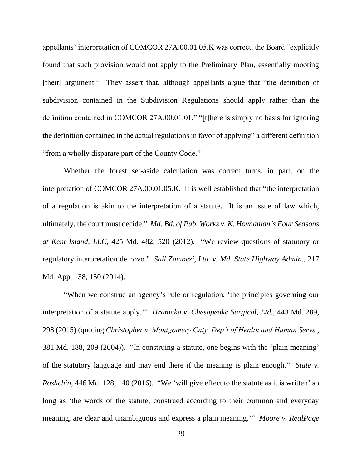appellants' interpretation of COMCOR 27A.00.01.05.K was correct, the Board "explicitly found that such provision would not apply to the Preliminary Plan, essentially mooting [their] argument." They assert that, although appellants argue that "the definition of subdivision contained in the Subdivision Regulations should apply rather than the definition contained in COMCOR 27A.00.01.01," "[t]here is simply no basis for ignoring the definition contained in the actual regulations in favor of applying" a different definition "from a wholly disparate part of the County Code."

Whether the forest set-aside calculation was correct turns, in part, on the interpretation of COMCOR 27A.00.01.05.K. It is well established that "the interpretation of a regulation is akin to the interpretation of a statute. It is an issue of law which, ultimately, the court must decide." *Md. Bd. of Pub. Works v. K. Hovnanian's Four Seasons at Kent Island, LLC*, 425 Md. 482, 520 (2012). "We review questions of statutory or regulatory interpretation de novo." *Sail Zambezi, Ltd. v. Md. State Highway Admin.*, 217 Md. App. 138, 150 (2014).

"When we construe an agency's rule or regulation, 'the principles governing our interpretation of a statute apply.'" *Hranicka v. Chesapeake Surgical, Ltd.*, 443 Md. 289, 298 (2015) (quoting *Christopher v. Montgomery Cnty. Dep't of Health and Human Servs.*, 381 Md. 188, 209 (2004)). "In construing a statute, one begins with the 'plain meaning' of the statutory language and may end there if the meaning is plain enough." *State v. Roshchin*, 446 Md. 128, 140 (2016). "We 'will give effect to the statute as it is written' so long as 'the words of the statute, construed according to their common and everyday meaning, are clear and unambiguous and express a plain meaning.'" *Moore v. RealPage*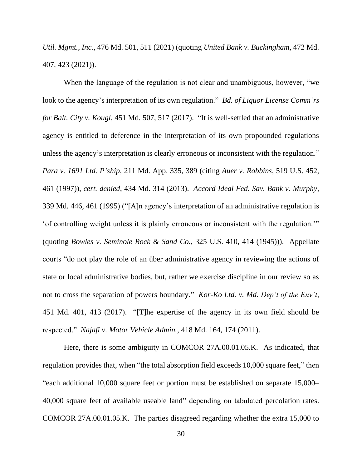*Util. Mgmt., Inc.*, 476 Md. 501, 511 (2021) (quoting *United Bank v. Buckingham*, 472 Md. 407, 423 (2021)).

When the language of the regulation is not clear and unambiguous, however, "we look to the agency's interpretation of its own regulation." *Bd. of Liquor License Comm'rs for Balt. City v. Kougl*, 451 Md. 507, 517 (2017). "It is well-settled that an administrative agency is entitled to deference in the interpretation of its own propounded regulations unless the agency's interpretation is clearly erroneous or inconsistent with the regulation." *Para v. 1691 Ltd. P'ship*, 211 Md. App. 335, 389 (citing *Auer v. Robbins*, 519 U.S. 452, 461 (1997)), *cert. denied*, 434 Md. 314 (2013). *Accord Ideal Fed. Sav. Bank v. Murphy*, 339 Md. 446, 461 (1995) ("[A]n agency's interpretation of an administrative regulation is 'of controlling weight unless it is plainly erroneous or inconsistent with the regulation.'" (quoting *Bowles v. Seminole Rock & Sand Co.*, 325 U.S. 410, 414 (1945))). Appellate courts "do not play the role of an über administrative agency in reviewing the actions of state or local administrative bodies, but, rather we exercise discipline in our review so as not to cross the separation of powers boundary." *Kor-Ko Ltd. v. Md. Dep't of the Env't*, 451 Md. 401, 413 (2017). "[T]he expertise of the agency in its own field should be respected." *Najafi v. Motor Vehicle Admin.*, 418 Md. 164, 174 (2011).

Here, there is some ambiguity in COMCOR 27A.00.01.05.K. As indicated, that regulation provides that, when "the total absorption field exceeds 10,000 square feet," then "each additional 10,000 square feet or portion must be established on separate 15,000– 40,000 square feet of available useable land" depending on tabulated percolation rates. COMCOR 27A.00.01.05.K. The parties disagreed regarding whether the extra 15,000 to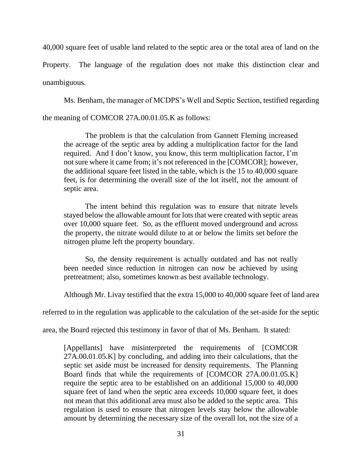40,000 square feet of usable land related to the septic area or the total area of land on the

Property. The language of the regulation does not make this distinction clear and unambiguous.

Ms. Benham, the manager of MCDPS's Well and Septic Section, testified regarding

the meaning of COMCOR 27A.00.01.05.K as follows:

The problem is that the calculation from Gannett Fleming increased the acreage of the septic area by adding a multiplication factor for the land required. And I don't know, you know, this term multiplication factor, I'm not sure where it came from; it's not referenced in the [COMCOR]; however, the additional square feet listed in the table, which is the 15 to 40,000 square feet, is for determining the overall size of the lot itself, not the amount of septic area.

The intent behind this regulation was to ensure that nitrate levels stayed below the allowable amount for lots that were created with septic areas over 10,000 square feet. So, as the effluent moved underground and across the property, the nitrate would dilute to at or below the limits set before the nitrogen plume left the property boundary.

So, the density requirement is actually outdated and has not really been needed since reduction in nitrogen can now be achieved by using pretreatment; also, sometimes known as best available technology.

Although Mr. Livay testified that the extra 15,000 to 40,000 square feet of land area

referred to in the regulation was applicable to the calculation of the set-aside for the septic

area, the Board rejected this testimony in favor of that of Ms. Benham. It stated:

[Appellants] have misinterpreted the requirements of [COMCOR 27A.00.01.05.K] by concluding, and adding into their calculations, that the septic set aside must be increased for density requirements. The Planning Board finds that while the requirements of [COMCOR 27A.00.01.05.K] require the septic area to be established on an additional 15,000 to 40,000 square feet of land when the septic area exceeds 10,000 square feet, it does not mean that this additional area must also be added to the septic area. This regulation is used to ensure that nitrogen levels stay below the allowable amount by determining the necessary size of the overall lot, not the size of a